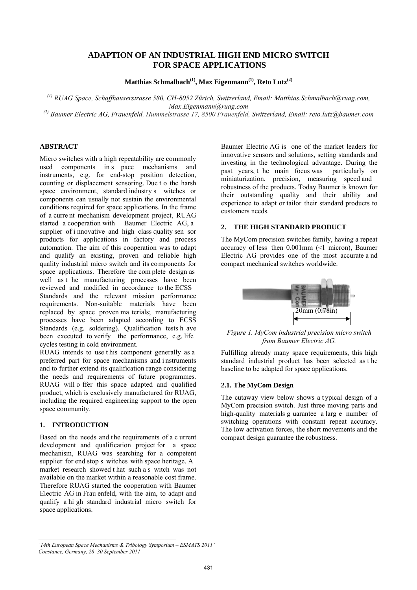# **ADAPTION OF AN INDUSTRIAL HIGH END MICRO SWITCH FOR SPACE APPLICATIONS**

Matthias Schmalbach<sup>(1)</sup>, Max Eigenmann<sup>(1)</sup>, Reto Lutz<sup>(2)</sup>

*(1) RUAG Space, Schaffhauserstrasse 580, CH-8052 Zürich, Switzerland, Email: Matthias.Schmalbach@ruag.com, Max.Eigenmann@ruag.com* 

*(2) Baumer Electric AG, Frauenfeld, Hummelstrasse 17, 8500 Frauenfeld, Switzerland, Email: reto.lutz@baumer.com* 

## **ABSTRACT**

Micro switches with a high repeatability are commonly used components in s pace mechanisms and instruments, e.g. for end-stop position detection, counting or displacement sensoring. Due t o the harsh space environment, standard industry s witches or components can usually not sustain the environmental conditions required for space applications. In the frame of a curre nt mechanism development project, RUAG<br>started a cooperation with Baumer Electric AG, a started a cooperation with supplier of i nnovative and high class quality sen sor products for applications in factory and process automation. The aim of this cooperation was to adapt and qualify an existing, proven and reliable high quality industrial micro switch and its components for space applications. Therefore the com plete design as well as t he manufacturing processes have been reviewed and modified in accordance to the ECSS Standards and the relevant mission performance requirements. Non-suitable materials have been replaced by space proven ma terials; manufacturing processes have been adapted according to ECSS Standards (e.g. soldering). Qualification tests h ave been executed to verify the performance, e.g. life cycles testing in cold environment.

RUAG intends to use t his component generally as a preferred part for space mechanisms and i nstruments and to further extend its qualification range considering the needs and requirements of future programmes. RUAG will o ffer this space adapted and qualified product, which is exclusively manufactured for RUAG, including the required engineering support to the open space community.

## **1. INTRODUCTION**

Based on the needs and the requirements of a c urrent development and qualification project for a space mechanism, RUAG was searching for a competent supplier for end stop s witches with space heritage. A market research showed t hat such a s witch was not available on the market within a reasonable cost frame. Therefore RUAG started the cooperation with Baumer Electric AG in Frau enfeld, with the aim, to adapt and qualify a hi gh standard industrial micro switch for space applications.

Baumer Electric AG is one of the market leaders for innovative sensors and solutions, setting standards and investing in the technological advantage. During the past years, t he main focus was particularly on miniaturization, precision, measuring speed and robustness of the products. Today Baumer is known for their outstanding quality and their ability and experience to adapt or tailor their standard products to customers needs.

# **2. THE HIGH STANDARD PRODUCT**

The MyCom precision switches family, having a repeat accuracy of less then 0.001mm (<1 micron), Baumer Electric AG provides one of the most accurate a nd compact mechanical switches worldwide.



*Figure 1. MyCom industrial precision micro switch from Baumer Electric AG.* 

Fulfilling already many space requirements, this high standard industrial product has been selected as t he baseline to be adapted for space applications.

#### **2.1. The MyCom Design**

The cutaway view below shows a typical design of a MyCom precision switch. Just three moving parts and high-quality materials g uarantee a larg e number of switching operations with constant repeat accuracy. The low activation forces, the short movements and the compact design guarantee the robustness.

*<sup>&#</sup>x27;14th European Space Mechanisms & Tribology Symposium – ESMATS 2011' Constance, Germany, 28–30 September 2011*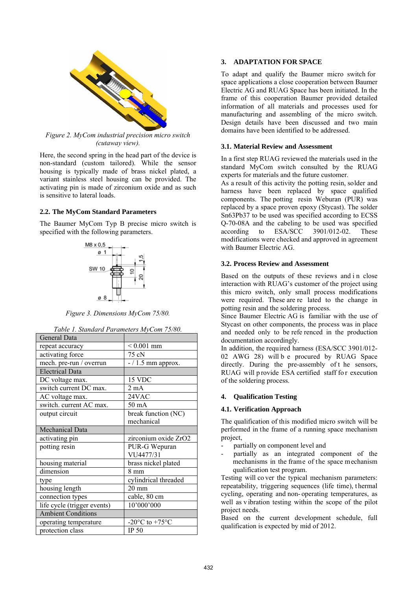

*Figure 2. MyCom industrial precision micro switch (cutaway view).* 

Here, the second spring in the head part of the device is non-standard (custom tailored). While the sensor housing is typically made of brass nickel plated, a variant stainless steel housing can be provided. The activating pin is made of zirconium oxide and as such is sensitive to lateral loads.

# **2.2. The MyCom Standard Parameters**

The Baumer MyCom Typ B precise micro switch is specified with the following parameters.



*Figure 3. Dimensions MyCom 75/80.* 

| <b>General Data</b>         |                                    |
|-----------------------------|------------------------------------|
| repeat accuracy             | $< 0.001$ mm                       |
| activating force            | 75 cN                              |
| mech. pre-run / overrun     | $-$ / 1.5 mm approx.               |
| <b>Electrical Data</b>      |                                    |
| DC voltage max.             | 15 VDC                             |
| switch current DC max.      | $2 \text{ mA}$                     |
| AC voltage max.             | 24VAC                              |
| switch. current AC max.     | 50 mA                              |
| output circuit              | break function (NC)                |
|                             | mechanical                         |
| Mechanical Data             |                                    |
|                             |                                    |
| activating pin              | zirconium oxide ZrO2               |
| potting resin               | PUR-G Wepuran                      |
|                             | VU4477/31                          |
| housing material            | brass nickel plated                |
| dimension                   | $8 \text{ mm}$                     |
| type                        | cylindrical threaded               |
| housing length              | $20 \text{ mm}$                    |
| connection types            | cable, 80 cm                       |
| life cycle (trigger events) | 10'000'000                         |
| <b>Ambient Conditions</b>   |                                    |
| operating temperature       | $-20^{\circ}$ C to $+75^{\circ}$ C |

| Table 1. Standard Parameters MyCom 75/80. |  |
|-------------------------------------------|--|
|-------------------------------------------|--|

## **3. ADAPTATION FOR SPACE**

To adapt and qualify the Baumer micro switch for space applications a close cooperation between Baumer Electric AG and RUAG Space has been initiated. In the frame of this cooperation Baumer provided detailed information of all materials and processes used for manufacturing and assembling of the micro switch. Design details have been discussed and two main domains have been identified to be addressed.

### **3.1. Material Review and Assessment**

In a first step RUAG reviewed the materials used in the standard MyCom switch consulted by the RUAG experts for materials and the future customer.

As a result of this activity the potting resin, solder and harness have been replaced by space qualified components. The potting resin Weburan (PUR) was replaced by a space proven epoxy (Stycast). The solder Sn63Pb37 to be used was specified according to ECSS Q-70-08A and the cabeling to be used was specified according to ESA/SCC 3901/012-02. These modifications were checked and approved in agreement with Baumer Electric AG.

### **3.2. Process Review and Assessment**

Based on the outputs of these reviews and in close interaction with RUAG's customer of the project using this micro switch, only small process modifications were required. These are re lated to the change in potting resin and the soldering process.

Since Baumer Electric AG is familiar with the use of Stycast on other components, the process was in place and needed only to be refe renced in the production documentation accordingly.

In addition, the required harness (ESA/SCC 3901/012- 02 AWG 28) will b e procured by RUAG Space directly. During the pre-assembly of the sensors, RUAG will p rovide ESA certified staff for execution of the soldering process.

#### **4. Qualification Testing**

### **4.1. Verification Approach**

The qualification of this modified micro switch will be performed in the frame of a running space mechanism project,

- partially on component level and
- partially as an integrated component of the mechanisms in the frame of the space mechanism qualification test program.

Testing will co ver the typical mechanism parameters: repeatability, triggering sequences (life time), t hermal cycling, operating and non- operating temperatures, as well as v ibration testing within the scope of the pilot project needs.

Based on the current development schedule, full qualification is expected by mid of 2012.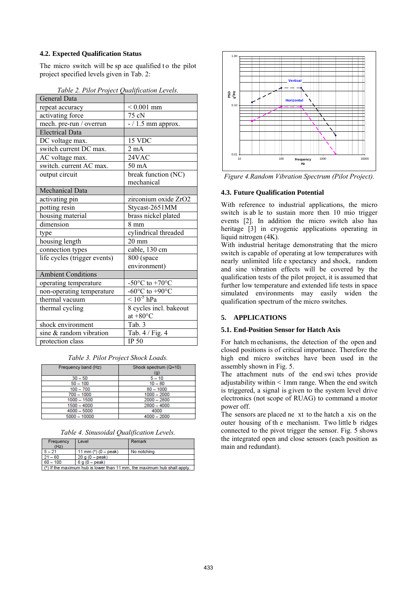## **4.2. Expected Qualification Status**

The micro switch will be sp ace qualified to the pilot project specified levels given in Tab. 2:

| Tubic 2. I not I roject grandication Levels. |                                              |
|----------------------------------------------|----------------------------------------------|
| General Data                                 |                                              |
| repeat accuracy                              | $< 0.001$ mm                                 |
| activating force                             | 75 cN                                        |
| mech. pre-run / overrun                      | $-$ / 1.5 mm approx.                         |
| <b>Electrical Data</b>                       |                                              |
| DC voltage max.                              | 15 VDC                                       |
| switch current DC max.                       | 2 <sub>m</sub> A                             |
| AC voltage max.                              | 24VAC                                        |
| switch. current AC max.                      | 50 mA                                        |
| output circuit                               | break function (NC)                          |
|                                              | mechanical                                   |
| Mechanical Data                              |                                              |
| activating pin                               | zirconium oxide ZrO2                         |
| potting resin                                | Stycast-2651MM                               |
| housing material                             | brass nickel plated                          |
| dimension                                    | $8 \text{ mm}$                               |
| type                                         | cylindrical threaded                         |
| housing length                               | $20 \text{ mm}$                              |
| connection types                             | cable, 130 cm                                |
| life cycles (trigger events)                 | 800 (space                                   |
|                                              | environment)                                 |
| <b>Ambient Conditions</b>                    |                                              |
| operating temperature                        | -50 $\rm{^{\circ}C}$ to +70 $\rm{^{\circ}C}$ |
| non-operating temperature                    | $-60^{\circ}$ C to $+90^{\circ}$ C           |
| thermal vacuum                               | $\leq 10^{-5}$ hPa                           |
| thermal cycling                              | 8 cycles incl. bakeout                       |
|                                              | at $+80^{\circ}$ C                           |
| shock environment                            | Tab. 3                                       |
| sine & random vibration                      | Tab. 4 / Fig. 4                              |
| protection class                             | IP 50                                        |

*Table 2. Pilot Project Qualification Levels.*

*Table 3. Pilot Project Shock Loads.*

| Frequency band (Hz) | Shock spectrum (Q=10) |
|---------------------|-----------------------|
|                     | $\left( q\right)$     |
| $30 - 50$           | $5 - 10$              |
| $50 - 100$          | $10 - 80$             |
| $100 - 700$         | $80 - 1000$           |
| $700 - 1000$        | $1000 - 2000$         |
| $1000 - 1500$       | $2000 - 2800$         |
| 1500 - 4000         | $2800 - 4000$         |
| $4000 - 5000$       | 4000                  |
| $5000 - 10000$      | $4000 - 2000$         |

*Table 4. Sinusoidal Qualification Levels.*

| Frequency<br>(Hz)                                                                    | Level                    | Remark      |
|--------------------------------------------------------------------------------------|--------------------------|-------------|
| $5 - 21$                                                                             | 11 mm $(*)$ $(0 - peak)$ | No notching |
| $21 - 60$                                                                            | $20q(0 - peak)$          |             |
| $60 - 100$                                                                           | $6q(0 - peak)$           |             |
| $\binom{(*)}{k}$ if the maximum hub is lower than 11 mm, the maximum hub shall apply |                          |             |



*Figure 4.Random Vibration Spectrum (Pilot Project).* 

## **4.3. Future Qualification Potential**

With reference to industrial applications, the micro switch is ab le to sustain more then 10 mio trigger events [2]. In addition the micro switch also has heritage [3] in cryogenic applications operating in liquid nitrogen (4K).

With industrial heritage demonstrating that the micro switch is capable of operating at low temperatures with nearly unlimited life e xpectancy and shock, random and sine vibration effects will be covered by the qualification tests of the pilot project, it is assumed that further low temperature and extended life tests in space simulated environments may easily widen the qualification spectrum of the micro switches.

# **5. APPLICATIONS**

#### **5.1. End-Position Sensor for Hatch Axis**

For hatch m echanisms, the detection of the open and closed positions is of critical importance. Therefore the high end micro switches have been used in the assembly shown in Fig. 5.

The attachment nuts of the end swi tches provide adjustability within < 1mm range. When the end switch is triggered, a signal is given to the system level drive electronics (not scope of RUAG) to command a motor power off.

The sensors are placed ne xt to the hatch a xis on the outer housing of th e mechanism. Two little b ridges connected to the pivot trigger the sensor. Fig. 5 shows the integrated open and close sensors (each position as main and redundant).